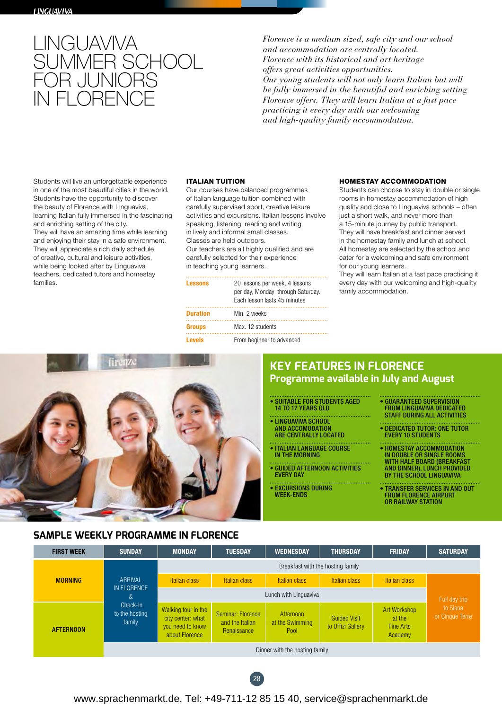

*Florence is a medium sized, safe city and our school and accommodation are centrally located. Florence with its historical and art heritage offers great activities opportunities. Our young students will not only learn Italian but will be fully immersed in the beautiful and enriching setting Florence offers. They will learn Italian at a fast pace practicing it every day with our welcoming and high-quality family accommodation.*

Students will live an unforgettable experience in one of the most beautiful cities in the world. Students have the opportunity to discover the beauty of Florence with Linguaviva, learning Italian fully immersed in the fascinating and enriching setting of the city. They will have an amazing time while learning and enjoying their stay in a safe environment. They will appreciate a rich daily schedule of creative, cultural and leisure activities, while being looked after by Linguaviva teachers, dedicated tutors and homestay families.

#### ITALIAN TUITION

Our courses have balanced programmes of Italian language tuition combined with carefully supervised sport, creative leisure activities and excursions. Italian lessons involve speaking, listening, reading and writing in lively and informal small classes. Classes are held outdoors. Our teachers are all highly qualified and are carefully selected for their experience

in teaching young learners.

| <b>Lessons</b>  | 20 lessons per week, 4 lessons<br>per day, Monday through Saturday.<br>Each lesson lasts 45 minutes |
|-----------------|-----------------------------------------------------------------------------------------------------|
| <b>Duration</b> | Min. 2 weeks                                                                                        |
| <b>Groups</b>   | Max. 12 students                                                                                    |
| <b>Levels</b>   | From beginner to advanced                                                                           |

#### HOMESTAY ACCOMMODATION

Students can choose to stay in double or single rooms in homestay accommodation of high quality and close to Linguaviva schools – often just a short walk, and never more than a 15-minute journey by public transport. They will have breakfast and dinner served in the homestay family and lunch at school. All homestay are selected by the school and cater for a welcoming and safe environment for our young learners.

They will learn Italian at a fast pace practicing it every day with our welcoming and high-quality family accommodation.



# **KEY FEATURES IN FLORENCE Programme available in July and August**

- SUITABLE FOR STUDENTS AGED 14 TO 17 YEARS OLD
- LINGUAVIVA SCHOOL AND ACCOMODATION ARE CENTRALLY LOCATED
- ITALIAN LANGUAGE COURSE IN THE MORNING
- GUIDED AFTERNOON ACTIVITIES EVERY DAY
- EXCURSIONS DURING WEEK-ENDS
- GUARANTEED SUPERVISION FROM LINGUAVIVA DEDICATED STAFF DURING ALL ACTIVITIES
- DEDICATED TUTOR: ONE TUTOR EVERY 10 STUDENTS
- HOMESTAY ACCOMMODATION IN DOUBLE OR SINGLE ROOMS WITH HALF BOARD (BREAKFAST AND DINNER), LUNCH PROVIDED BY THE SCHOOL LINGUAVIVA
- TRANSFER SERVICES IN AND OUT FROM FLORENCE AIRPORT OR RAILWAY STATION

# **SAMPLE WEEKLY PROGRAMME IN FLORENCE**

| <b>FIRST WEEK</b>                                                                                         | <b>SUNDAY</b>                  | <b>MONDAY</b>                                                                  | <b>TUESDAY</b>                                      | <b>WEDNESDAY</b>                     | <b>THURSDAY</b>                          | <b>FRIDAY</b>                                         | <b>SATURDAY</b>             |
|-----------------------------------------------------------------------------------------------------------|--------------------------------|--------------------------------------------------------------------------------|-----------------------------------------------------|--------------------------------------|------------------------------------------|-------------------------------------------------------|-----------------------------|
| ARRIVAL<br><b>MORNING</b><br>IN FLORENCE<br>&<br>Check-In<br>to the hosting<br>family<br><b>AFTERNOON</b> |                                | Breakfast with the hosting family                                              |                                                     |                                      |                                          |                                                       |                             |
|                                                                                                           |                                | Italian class                                                                  | <b>Italian class</b>                                | Italian class                        | <b>Italian class</b>                     | Italian class                                         |                             |
|                                                                                                           |                                | Lunch with Linguaviva                                                          |                                                     |                                      |                                          |                                                       | Full day trip               |
|                                                                                                           |                                | Walking tour in the<br>city center: what<br>you need to know<br>about Florence | Seminar: Florence<br>and the Italian<br>Renaissance | Afternoon<br>at the Swimming<br>Pool | <b>Guided Visit</b><br>to Uffizi Gallery | Art Workshop<br>at the<br><b>Fine Arts</b><br>Academy | to Siena<br>or Cinque Terre |
|                                                                                                           | Dinner with the hosting family |                                                                                |                                                     |                                      |                                          |                                                       |                             |



# www.sprachenmarkt.de, Tel: +49-711-12 85 15 40, service@sprachenmarkt.de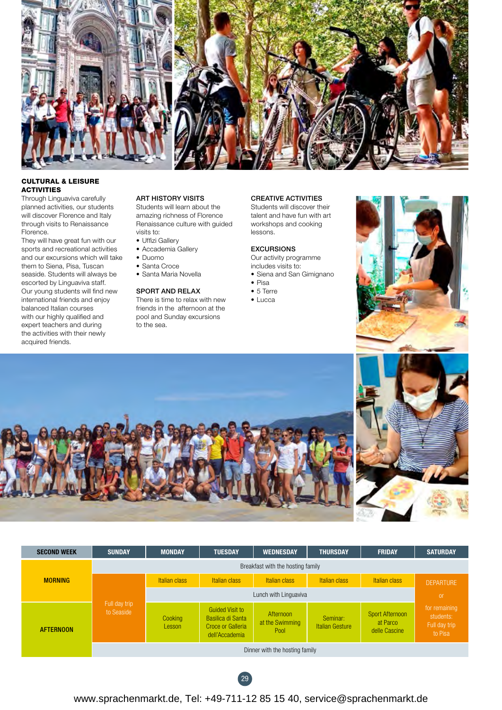

# CULTURAL & LEISURE **ACTIVITIES**

Through Linguaviva carefully planned activities, our students will discover Florence and Italy through visits to Renaissance Florence.

They will have great fun with our sports and recreational activities and our excursions which will take them to Siena, Pisa, Tuscan seaside. Students will always be escorted by Linguaviva staff. Our young students will find new international friends and enjoy balanced Italian courses with our highly qualified and expert teachers and during the activities with their newly acquired friends.

### ART HISTORY VISITS

Students will learn about the amazing richness of Florence Renaissance culture with guided visits to:

- Uffizi Gallery
- Accademia Gallery
- Duomo
- Santa Croce
- Santa Maria Novella

### SPORT AND RELAX

There is time to relax with new friends in the afternoon at the pool and Sunday excursions to the sea.

#### CREATIVE ACTIVITIES

Students will discover their talent and have fun with art workshops and cooking lessons.

#### EXCURSIONS

Our activity programme includes visits to:

- Siena and San Gimignano
- Pisa
- 5 Terre
- Lucca











# www.sprachenmarkt.de, Tel: +49-711-12 85 15 40, service@sprachenmarkt.de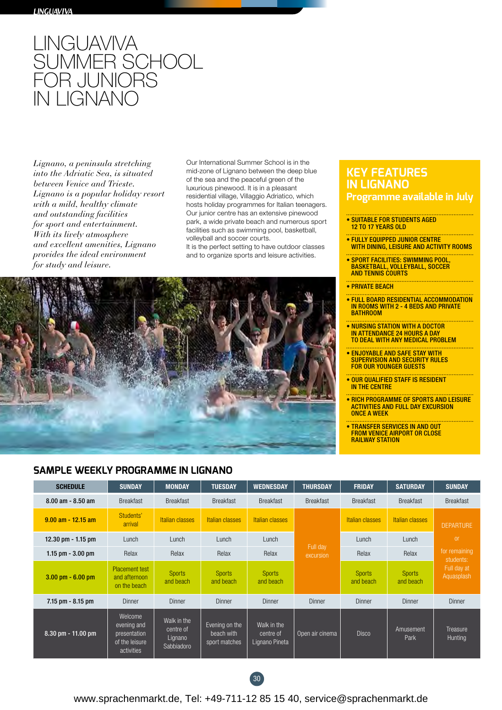

*Lignano, a peninsula stretching into the Adriatic Sea, is situated between Venice and Trieste. Lignano is a popular holiday resort with a mild, healthy climate and outstanding facilities for sport and entertainment. With its lively atmosphere and excellent amenities, Lignano provides the ideal environment for study and leisure.*

Our International Summer School is in the mid-zone of Lignano between the deep blue of the sea and the peaceful green of the luxurious pinewood. It is in a pleasant residential village, Villaggio Adriatico, which hosts holiday programmes for Italian teenagers. Our junior centre has an extensive pinewood park, a wide private beach and numerous sport facilities such as swimming pool, basketball, volleyball and soccer courts. It is the perfect setting to have outdoor classes and to organize sports and leisure activities.



# **SAMPLE WEEKLY PROGRAMME IN LIGNANO**

# **KEY FEATURES IN LIGNANO**

- **Programme available in July**
- SUITABLE FOR STUDENTS AGED 12 TO 17 YEARS OLD
- FULLY EQUIPPED JUNIOR CENTRE WITH DINING, LEISURE AND ACTIVITY ROOMS
- SPORT FACILITIES: SWIMMING POOL, BASKETBALL, VOLLEYBALL, SOCCER AND TENNIS COURTS
- PRIVATE BEACH
- FULL BOARD RESIDENTIAL ACCOMMODATION IN ROOMS WITH 2 - 4 BEDS AND PRIVATE BATHROOM
- NURSING STATION WITH A DOCTOR IN ATTENDANCE 24 HOURS A DAY TO DEAL WITH ANY MEDICAL PROBLEM
- ENJOYABLE AND SAFE STAY WITH **SUPERVISION AND SECURITY RULES** FOR OUR YOUNGER GUESTS
- OUR QUALIFIED STAFF IS RESIDENT IN THE CENTRE
- RICH PROGRAMME OF SPORTS AND LEISURE ACTIVITIES AND FULL DAY EXCURSION ONCE A WEEK
- TRANSFER SERVICES IN AND OUT FROM VENICE AIRPORT OR CLOSE RAILWAY STATION

| <b>SCHEDULE</b>                     | <b>SUNDAY</b>                                                          | <b>MONDAY</b>                                     | <b>TUESDAY</b>                                | <b>WEDNESDAY</b>                           | <b>THURSDAY</b>       | <b>FRIDAY</b>              | <b>SATURDAY</b>            | <b>SUNDAY</b>                                                            |
|-------------------------------------|------------------------------------------------------------------------|---------------------------------------------------|-----------------------------------------------|--------------------------------------------|-----------------------|----------------------------|----------------------------|--------------------------------------------------------------------------|
| $8.00$ am - $8.50$ am               | <b>Breakfast</b>                                                       | <b>Breakfast</b>                                  | <b>Breakfast</b>                              | <b>Breakfast</b>                           | <b>Breakfast</b>      | <b>Breakfast</b>           | <b>Breakfast</b>           | <b>Breakfast</b>                                                         |
| $9.00$ am - 12.15 am                | Students'<br>arrival                                                   | Italian classes                                   | <b>Italian classes</b>                        | <b>Italian classes</b>                     |                       | Italian classes            | Italian classes            | <b>DEPARTURE</b>                                                         |
| 12.30 pm $-$ 1.15 pm                | Lunch                                                                  | Lunch                                             | Lunch                                         | Lunch                                      | Full day<br>excursion | Lunch                      | Lunch                      | <sub>or</sub><br>for remaining<br>students:<br>Full day at<br>Aquasplash |
| 1.15 $pm - 3.00$ $pm$               | Relax                                                                  | Relax                                             | Relax                                         | Relax                                      |                       | Relax                      | Relax                      |                                                                          |
| $3.00 \text{ pm} - 6.00 \text{ pm}$ | <b>Placement test</b><br>and afternoon<br>on the beach                 | <b>Sports</b><br>and beach                        | <b>Sports</b><br>and beach                    | <b>Sports</b><br>and beach                 |                       | <b>Sports</b><br>and beach | <b>Sports</b><br>and beach |                                                                          |
| $7.15$ pm $- 8.15$ pm               | Dinner                                                                 | Dinner                                            | Dinner                                        | Dinner                                     | Dinner                | Dinner                     | Dinner                     | Dinner                                                                   |
| $8.30$ pm - 11.00 pm                | Welcome<br>evening and<br>presentation<br>of the leisure<br>activities | Walk in the<br>centre of<br>Lignano<br>Sabbiadoro | Evening on the<br>beach with<br>sport matches | Walk in the<br>centre of<br>Lignano Pineta | Open air cinema       | <b>Disco</b>               | Amusement<br>Park          | Treasure<br>Hunting                                                      |



www.sprachenmarkt.de, Tel: +49-711-12 85 15 40, service@sprachenmarkt.de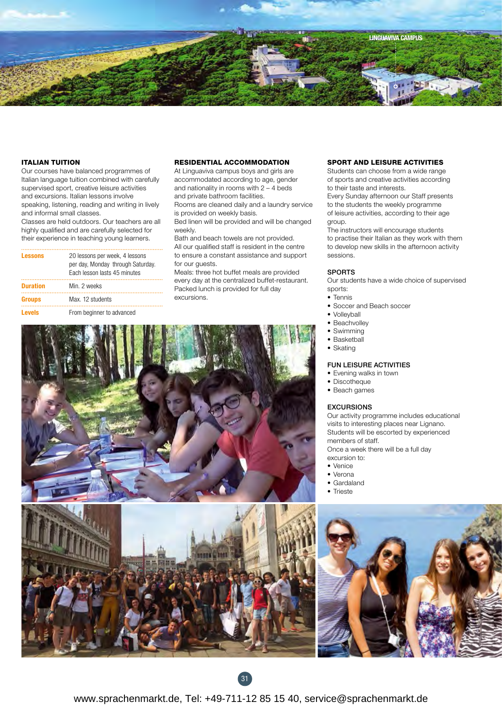

### ITALIAN TUITION

Our courses have balanced programmes of Italian language tuition combined with carefully supervised sport, creative leisure activities and excursions. Italian lessons involve speaking, listening, reading and writing in lively and informal small classes.

Classes are held outdoors. Our teachers are all highly qualified and are carefully selected for their experience in teaching young learners.

| <b>Lessons</b>  | 20 lessons per week, 4 lessons<br>per day, Monday through Saturday.<br>Each lesson lasts 45 minutes |
|-----------------|-----------------------------------------------------------------------------------------------------|
| <b>Duration</b> | Min. 2 weeks                                                                                        |
| <b>Groups</b>   | Max. 12 students                                                                                    |
| <b>Levels</b>   | From beginner to advanced                                                                           |

### RESIDENTIAL ACCOMMODATION

At Linguaviva campus boys and girls are accommodated according to age, gender and nationality in rooms with 2 – 4 beds and private bathroom facilities.

Rooms are cleaned daily and a laundry service is provided on weekly basis.

Bed linen will be provided and will be changed weekly.

Bath and beach towels are not provided. All our qualified staff is resident in the centre to ensure a constant assistance and support for our quests.

Meals: three hot buffet meals are provided every day at the centralized buffet-restaurant. Packed lunch is provided for full day excursions.

# SPORT AND LEISURE ACTIVITIES

Students can choose from a wide range of sports and creative activities according to their taste and interests.

Every Sunday afternoon our Staff presents to the students the weekly programme of leisure activities, according to their age group.

The instructors will encourage students to practise their Italian as they work with them to develop new skills in the afternoon activity sessions.

### SPORTS

Our students have a wide choice of supervised sports:

- Tennis
- Soccer and Beach soccer
- Volleyball
- Beachvolley
- Swimming
- Basketball • Skating
- 

### FUN LEISURE ACTIVITIES

- Evening walks in town
- Discotheque
- Beach games

#### EXCURSIONS

Our activity programme includes educational visits to interesting places near Lignano. Students will be escorted by experienced members of staff. Once a week there will be a full day excursion to:

- Venice
- Verona
- Gardaland
- Trieste